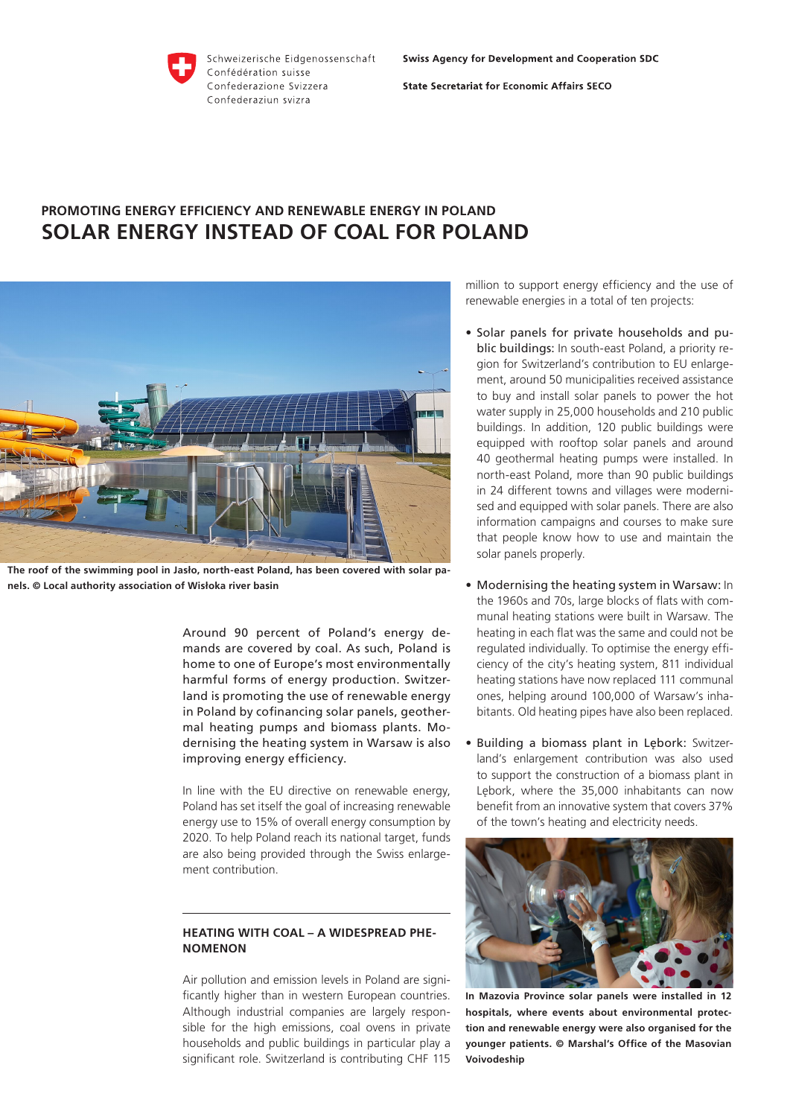

Schweizerische Eidgenossenschaft Confédération suisse Confederazione Svizzera Confederaziun svizra

**Swiss Agency for Development and Cooperation SDC** 

**State Secretariat for Economic Affairs SECO** 

# **PROMOTING ENERGY EFFICIENCY AND RENEWABLE ENERGY IN POLAND SOLAR ENERGY INSTEAD OF COAL FOR POLAND**



**The roof of the swimming pool in Jasło, north-east Poland, has been covered with solar panels. © Local authority association of Wisłoka river basin**

Around 90 percent of Poland's energy demands are covered by coal. As such, Poland is home to one of Europe's most environmentally harmful forms of energy production. Switzerland is promoting the use of renewable energy in Poland by cofinancing solar panels, geothermal heating pumps and biomass plants. Modernising the heating system in Warsaw is also improving energy efficiency.

In line with the EU directive on renewable energy, Poland has set itself the goal of increasing renewable energy use to 15% of overall energy consumption by 2020. To help Poland reach its national target, funds are also being provided through the Swiss enlargement contribution.

## **HEATING WITH COAL – A WIDESPREAD PHE-NOMENON**

Air pollution and emission levels in Poland are significantly higher than in western European countries. Although industrial companies are largely responsible for the high emissions, coal ovens in private households and public buildings in particular play a significant role. Switzerland is contributing CHF 115 million to support energy efficiency and the use of renewable energies in a total of ten projects:

- Solar panels for private households and public buildings: In south-east Poland, a priority region for Switzerland's contribution to EU enlargement, around 50 municipalities received assistance to buy and install solar panels to power the hot water supply in 25,000 households and 210 public buildings. In addition, 120 public buildings were equipped with rooftop solar panels and around 40 geothermal heating pumps were installed. In north-east Poland, more than 90 public buildings in 24 different towns and villages were modernised and equipped with solar panels. There are also information campaigns and courses to make sure that people know how to use and maintain the solar panels properly.
- Modernising the heating system in Warsaw: In the 1960s and 70s, large blocks of flats with communal heating stations were built in Warsaw. The heating in each flat was the same and could not be regulated individually. To optimise the energy efficiency of the city's heating system, 811 individual heating stations have now replaced 111 communal ones, helping around 100,000 of Warsaw's inhabitants. Old heating pipes have also been replaced.
- Building a biomass plant in Lębork: Switzerland's enlargement contribution was also used to support the construction of a biomass plant in Lębork, where the 35,000 inhabitants can now benefit from an innovative system that covers 37% of the town's heating and electricity needs.



**In Mazovia Province solar panels were installed in 12 hospitals, where events about environmental protection and renewable energy were also organised for the younger patients. © Marshal's Office of the Masovian Voivodeship**